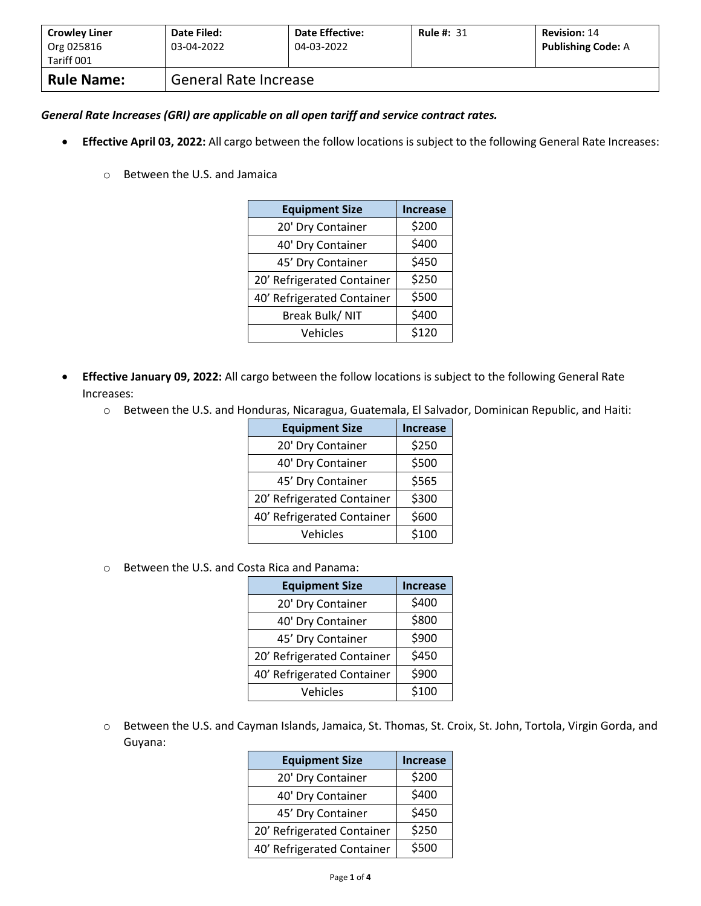| <b>Crowley Liner</b><br>Org 025816<br>Tariff 001 | Date Filed:<br>03-04-2022 | <b>Date Effective:</b><br>04-03-2022 | <b>Rule #: 31</b> | <b>Revision: 14</b><br><b>Publishing Code: A</b> |
|--------------------------------------------------|---------------------------|--------------------------------------|-------------------|--------------------------------------------------|
| <b>Rule Name:</b>                                | General Rate Increase     |                                      |                   |                                                  |

## *General Rate Increases (GRI) are applicable on all open tariff and service contract rates.*

- **Effective April 03, 2022:** All cargo between the follow locations is subject to the following General Rate Increases:
	- o Between the U.S. and Jamaica

| <b>Equipment Size</b>      | <b>Increase</b> |
|----------------------------|-----------------|
| 20' Dry Container          | \$200           |
| 40' Dry Container          | \$400           |
| 45' Dry Container          | \$450           |
| 20' Refrigerated Container | \$250           |
| 40' Refrigerated Container | \$500           |
| Break Bulk/ NIT            | \$400           |
| Vehicles                   | \$120           |

- **Effective January 09, 2022:** All cargo between the follow locations is subject to the following General Rate Increases:
	- o Between the U.S. and Honduras, Nicaragua, Guatemala, El Salvador, Dominican Republic, and Haiti:

| <b>Equipment Size</b>      | <b>Increase</b> |
|----------------------------|-----------------|
| 20' Dry Container          | \$250           |
| 40' Dry Container          | \$500           |
| 45' Dry Container          | \$565           |
| 20' Refrigerated Container | \$300           |
| 40' Refrigerated Container | \$600           |
| Vehicles                   | \$100           |

o Between the U.S. and Costa Rica and Panama:

| <b>Equipment Size</b>      | <b>Increase</b> |
|----------------------------|-----------------|
| 20' Dry Container          | \$400           |
| 40' Dry Container          | \$800           |
| 45' Dry Container          | \$900           |
| 20' Refrigerated Container | \$450           |
| 40' Refrigerated Container | \$900           |
| Vehicles                   | \$100           |

o Between the U.S. and Cayman Islands, Jamaica, St. Thomas, St. Croix, St. John, Tortola, Virgin Gorda, and Guyana:

| <b>Equipment Size</b>      | <b>Increase</b> |
|----------------------------|-----------------|
| 20' Dry Container          | \$200           |
| 40' Dry Container          | \$400           |
| 45' Dry Container          | \$450           |
| 20' Refrigerated Container | \$250           |
| 40' Refrigerated Container | \$500           |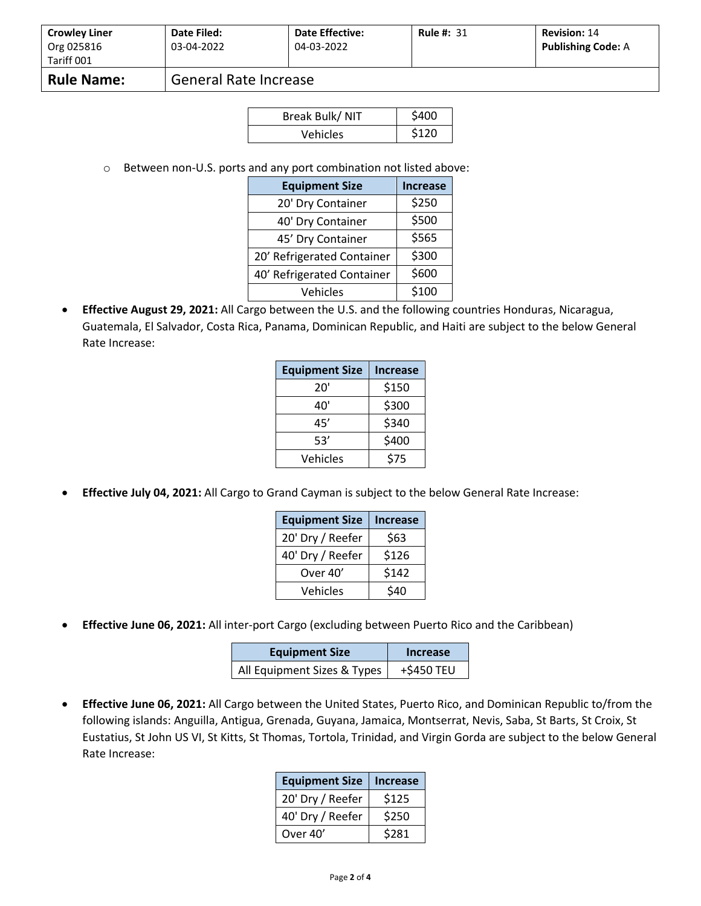| <b>Crowley Liner</b> | Date Filed:           | <b>Date Effective:</b> | <b>Rule #: 31</b> | <b>Revision: 14</b>       |
|----------------------|-----------------------|------------------------|-------------------|---------------------------|
| Org 025816           | 03-04-2022            | 04-03-2022             |                   | <b>Publishing Code: A</b> |
| Tariff 001           |                       |                        |                   |                           |
| <b>Rule Name:</b>    | General Rate Increase |                        |                   |                           |

| Break Bulk/NIT | \$400 |
|----------------|-------|
| Vehicles       | \$120 |

o Between non-U.S. ports and any port combination not listed above:

| <b>Equipment Size</b>      | <b>Increase</b> |
|----------------------------|-----------------|
| 20' Dry Container          | \$250           |
| 40' Dry Container          | \$500           |
| 45' Dry Container          | \$565           |
| 20' Refrigerated Container | \$300           |
| 40' Refrigerated Container | \$600           |
| Vehicles                   | \$100           |

• **Effective August 29, 2021:** All Cargo between the U.S. and the following countries Honduras, Nicaragua, Guatemala, El Salvador, Costa Rica, Panama, Dominican Republic, and Haiti are subject to the below General Rate Increase:

| <b>Equipment Size</b> | <b>Increase</b> |
|-----------------------|-----------------|
| 20'                   | \$150           |
| 40'                   | \$300           |
| 45′                   | \$340           |
| 53'                   | \$400           |
| Vehicles              | \$75            |

• **Effective July 04, 2021:** All Cargo to Grand Cayman is subject to the below General Rate Increase:

| <b>Equipment Size</b> | <b>Increase</b> |
|-----------------------|-----------------|
| 20' Dry / Reefer      | \$63            |
| 40' Dry / Reefer      | \$126           |
| Over 40'              | \$142           |
| Vehicles              | \$40            |

• **Effective June 06, 2021:** All inter-port Cargo (excluding between Puerto Rico and the Caribbean)

| <b>Equipment Size</b>       | Increase   |
|-----------------------------|------------|
| All Equipment Sizes & Types | +\$450 TEU |

• **Effective June 06, 2021:** All Cargo between the United States, Puerto Rico, and Dominican Republic to/from the following islands: Anguilla, Antigua, Grenada, Guyana, Jamaica, Montserrat, Nevis, Saba, St Barts, St Croix, St Eustatius, St John US VI, St Kitts, St Thomas, Tortola, Trinidad, and Virgin Gorda are subject to the below General Rate Increase:

| <b>Equipment Size</b> | <b>Increase</b> |
|-----------------------|-----------------|
| 20' Dry / Reefer      | \$125           |
| 40' Dry / Reefer      | \$250           |
| Over 40'              | \$281           |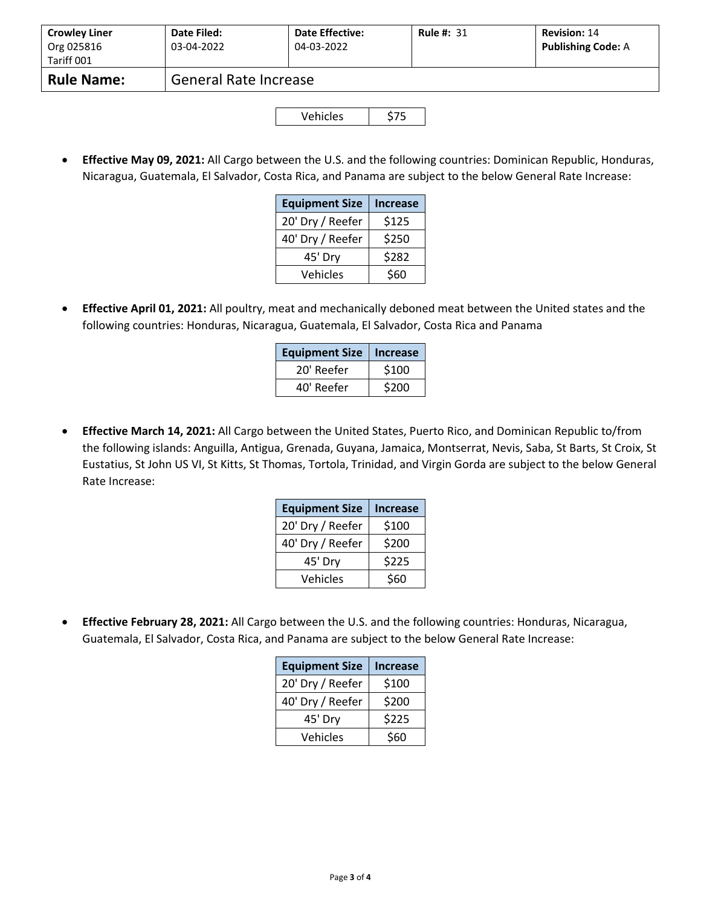| <b>Crowley Liner</b><br>Org 025816<br>Tariff 001 | Date Filed:<br>03-04-2022    | Date Effective:<br>04-03-2022 | <b>Rule #: 31</b> | <b>Revision: 14</b><br><b>Publishing Code: A</b> |
|--------------------------------------------------|------------------------------|-------------------------------|-------------------|--------------------------------------------------|
| <b>Rule Name:</b>                                | <b>General Rate Increase</b> |                               |                   |                                                  |
|                                                  |                              |                               |                   |                                                  |

| Vehicles | \$75 |
|----------|------|
|----------|------|

• **Effective May 09, 2021:** All Cargo between the U.S. and the following countries: Dominican Republic, Honduras, Nicaragua, Guatemala, El Salvador, Costa Rica, and Panama are subject to the below General Rate Increase:

| <b>Equipment Size</b> | <b>Increase</b> |
|-----------------------|-----------------|
| 20' Dry / Reefer      | \$125           |
| 40' Dry / Reefer      | \$250           |
| 45' Dry               | \$282           |
| Vehicles              | \$60            |

• **Effective April 01, 2021:** All poultry, meat and mechanically deboned meat between the United states and the following countries: Honduras, Nicaragua, Guatemala, El Salvador, Costa Rica and Panama

| <b>Equipment Size</b> | <b>Increase</b> |
|-----------------------|-----------------|
| 20' Reefer            | \$100           |
| 40' Reefer            | \$200           |

• **Effective March 14, 2021:** All Cargo between the United States, Puerto Rico, and Dominican Republic to/from the following islands: Anguilla, Antigua, Grenada, Guyana, Jamaica, Montserrat, Nevis, Saba, St Barts, St Croix, St Eustatius, St John US VI, St Kitts, St Thomas, Tortola, Trinidad, and Virgin Gorda are subject to the below General Rate Increase:

| <b>Equipment Size</b> | <b>Increase</b> |
|-----------------------|-----------------|
| 20' Dry / Reefer      | \$100           |
| 40' Dry / Reefer      | \$200           |
| 45' Dry               | \$225           |
| Vehicles              | \$60            |

• **Effective February 28, 2021:** All Cargo between the U.S. and the following countries: Honduras, Nicaragua, Guatemala, El Salvador, Costa Rica, and Panama are subject to the below General Rate Increase:

| <b>Equipment Size</b> | <b>Increase</b> |
|-----------------------|-----------------|
| 20' Dry / Reefer      | \$100           |
| 40' Dry / Reefer      | \$200           |
| 45' Dry               | \$225           |
| Vehicles              | \$60            |